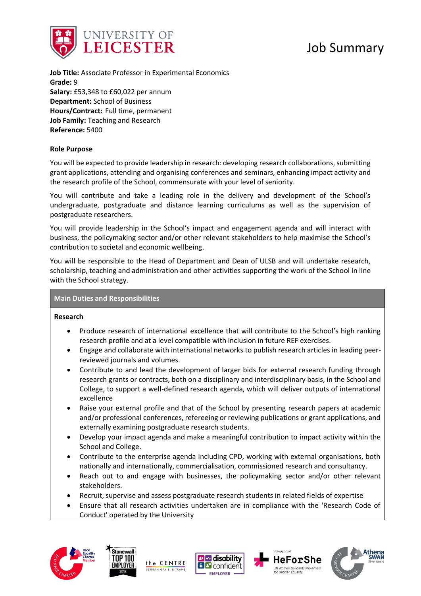

**Job Title:** Associate Professor in Experimental Economics **Grade:** 9 **Salary:** £53,348 to £60,022 per annum **Department:** School of Business **Hours/Contract:** Full time, permanent **Job Family:** Teaching and Research **Reference:** 5400

### **Role Purpose**

You will be expected to provide leadership in research: developing research collaborations, submitting grant applications, attending and organising conferences and seminars, enhancing impact activity and the research profile of the School, commensurate with your level of seniority.

You will contribute and take a leading role in the delivery and development of the School's undergraduate, postgraduate and distance learning curriculums as well as the supervision of postgraduate researchers.

You will provide leadership in the School's impact and engagement agenda and will interact with business, the policymaking sector and/or other relevant stakeholders to help maximise the School's contribution to societal and economic wellbeing.

You will be responsible to the Head of Department and Dean of ULSB and will undertake research, scholarship, teaching and administration and other activities supporting the work of the School in line with the School strategy.

#### **Main Duties and Responsibilities**

#### **Research**

- Produce research of international excellence that will contribute to the School's high ranking research profile and at a level compatible with inclusion in future REF exercises.
- Engage and collaborate with international networks to publish research articles in leading peerreviewed journals and volumes.
- Contribute to and lead the development of larger bids for external research funding through research grants or contracts, both on a disciplinary and interdisciplinary basis, in the School and College, to support a well-defined research agenda, which will deliver outputs of international excellence
- Raise your external profile and that of the School by presenting research papers at academic and/or professional conferences, refereeing or reviewing publications or grant applications, and externally examining postgraduate research students.
- Develop your impact agenda and make a meaningful contribution to impact activity within the School and College.
- Contribute to the enterprise agenda including CPD, working with external organisations, both nationally and internationally, commercialisation, commissioned research and consultancy.
- Reach out to and engage with businesses, the policymaking sector and/or other relevant stakeholders.
- Recruit, supervise and assess postgraduate research students in related fields of expertise
- Ensure that all research activities undertaken are in compliance with the 'Research Code of Conduct' operated by the University









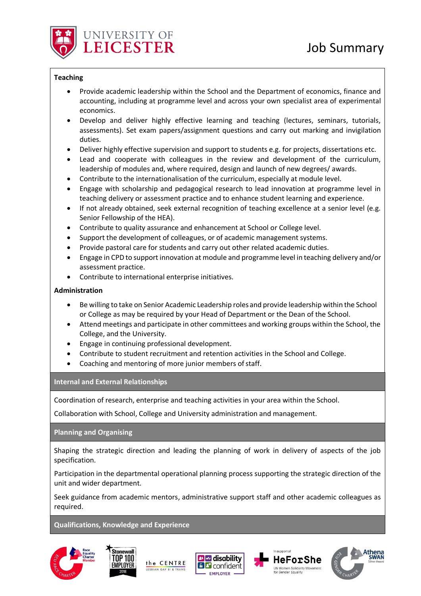

# **Teaching**

- Provide academic leadership within the School and the Department of economics, finance and accounting, including at programme level and across your own specialist area of experimental economics.
- Develop and deliver highly effective learning and teaching (lectures, seminars, tutorials, assessments). Set exam papers/assignment questions and carry out marking and invigilation duties.
- Deliver highly effective supervision and support to students e.g. for projects, dissertations etc.
- Lead and cooperate with colleagues in the review and development of the curriculum, leadership of modules and, where required, design and launch of new degrees/ awards.
- Contribute to the internationalisation of the curriculum, especially at module level.
- Engage with scholarship and pedagogical research to lead innovation at programme level in teaching delivery or assessment practice and to enhance student learning and experience.
- If not already obtained, seek external recognition of teaching excellence at a senior level (e.g. Senior Fellowship of the HEA).
- Contribute to quality assurance and enhancement at School or College level.
- Support the development of colleagues, or of academic management systems.
- Provide pastoral care for students and carry out other related academic duties.
- Engage in CPD to support innovation at module and programme level in teaching delivery and/or assessment practice.
- Contribute to international enterprise initiatives.

# **Administration**

- Be willing to take on Senior Academic Leadership roles and provide leadership within the School or College as may be required by your Head of Department or the Dean of the School.
- Attend meetings and participate in other committees and working groups within the School, the College, and the University.
- Engage in continuing professional development.
- Contribute to student recruitment and retention activities in the School and College.
- Coaching and mentoring of more junior members of staff.

**Internal and External Relationships**

Coordination of research, enterprise and teaching activities in your area within the School.

Collaboration with School, College and University administration and management.

**Planning and Organising** 

Shaping the strategic direction and leading the planning of work in delivery of aspects of the job specification.

Participation in the departmental operational planning process supporting the strategic direction of the unit and wider department.

Seek guidance from academic mentors, administrative support staff and other academic colleagues as required.

# **Qualifications, Knowledge and Experience**









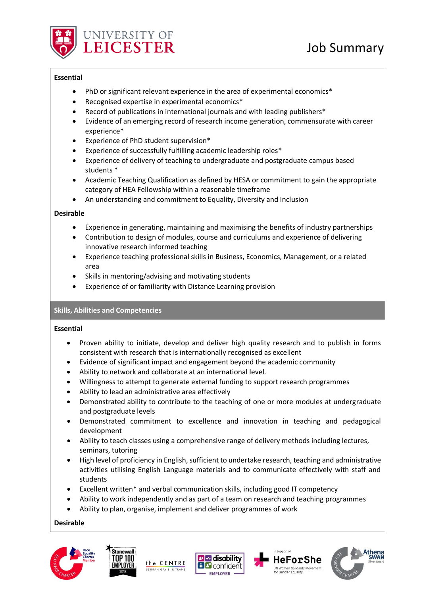

## **Essential**

- PhD or significant relevant experience in the area of experimental economics\*
- Recognised expertise in experimental economics\*
- Record of publications in international journals and with leading publishers\*
- Evidence of an emerging record of research income generation, commensurate with career experience\*
- Experience of PhD student supervision\*
- Experience of successfully fulfilling academic leadership roles\*
- Experience of delivery of teaching to undergraduate and postgraduate campus based students \*
- Academic Teaching Qualification as defined by HESA or commitment to gain the appropriate category of HEA Fellowship within a reasonable timeframe
- An understanding and commitment to Equality, Diversity and Inclusion

## **Desirable**

- Experience in generating, maintaining and maximising the benefits of industry partnerships
- Contribution to design of modules, course and curriculums and experience of delivering innovative research informed teaching
- Experience teaching professional skills in Business, Economics, Management, or a related area
- Skills in mentoring/advising and motivating students
- Experience of or familiarity with Distance Learning provision

# **Skills, Abilities and Competencies**

#### **Essential**

- Proven ability to initiate, develop and deliver high quality research and to publish in forms consistent with research that is internationally recognised as excellent
- Evidence of significant impact and engagement beyond the academic community
- Ability to network and collaborate at an international level.
- Willingness to attempt to generate external funding to support research programmes
- Ability to lead an administrative area effectively
- Demonstrated ability to contribute to the teaching of one or more modules at undergraduate and postgraduate levels
- Demonstrated commitment to excellence and innovation in teaching and pedagogical development
- Ability to teach classes using a comprehensive range of delivery methods including lectures, seminars, tutoring
- High level of proficiency in English, sufficient to undertake research, teaching and administrative activities utilising English Language materials and to communicate effectively with staff and students
- Excellent written\* and verbal communication skills, including good IT competency
- Ability to work independently and as part of a team on research and teaching programmes
- Ability to plan, organise, implement and deliver programmes of work

**Desirable**